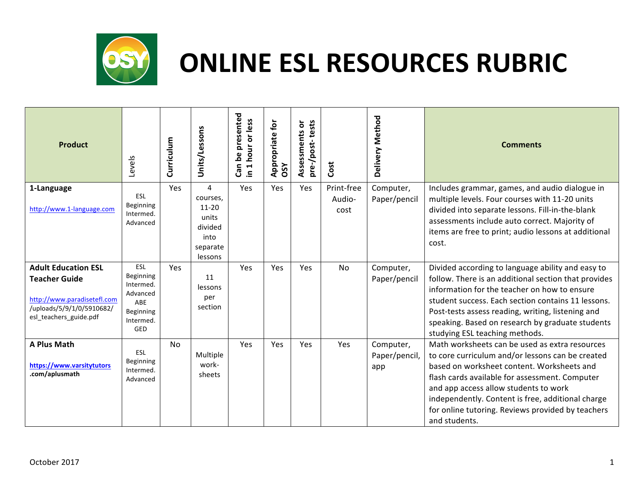

| <b>Product</b>                                                                                                                           | Levels                                                                            | Curriculum | Units/Lessons                                                                 | presented<br>hour or less<br>ഉ<br>Can<br>$\blacktriangleleft$<br>$\tilde{=}$ | <b>Appropriate for</b><br><b>OSY</b> | tests<br>ŏ<br>Assessments<br>pre-/post- | Cost                         | Delivery Method                   | <b>Comments</b>                                                                                                                                                                                                                                                                                                                                                        |
|------------------------------------------------------------------------------------------------------------------------------------------|-----------------------------------------------------------------------------------|------------|-------------------------------------------------------------------------------|------------------------------------------------------------------------------|--------------------------------------|-----------------------------------------|------------------------------|-----------------------------------|------------------------------------------------------------------------------------------------------------------------------------------------------------------------------------------------------------------------------------------------------------------------------------------------------------------------------------------------------------------------|
| 1-Language<br>http://www.1-language.com                                                                                                  | ESL<br>Beginning<br>Intermed.<br>Advanced                                         | Yes        | 4<br>courses.<br>$11 - 20$<br>units<br>divided<br>into<br>separate<br>lessons | Yes                                                                          | <b>Yes</b>                           | Yes                                     | Print-free<br>Audio-<br>cost | Computer,<br>Paper/pencil         | Includes grammar, games, and audio dialogue in<br>multiple levels. Four courses with 11-20 units<br>divided into separate lessons. Fill-in-the-blank<br>assessments include auto correct. Majority of<br>items are free to print; audio lessons at additional<br>cost.                                                                                                 |
| <b>Adult Education ESL</b><br><b>Teacher Guide</b><br>http://www.paradisetefl.com<br>/uploads/5/9/1/0/5910682/<br>esl_teachers_guide.pdf | ESL<br>Beginning<br>Intermed.<br>Advanced<br>ABE<br>Beginning<br>Intermed.<br>GED | Yes        | 11<br>lessons<br>per<br>section                                               | Yes                                                                          | Yes                                  | Yes                                     | <b>No</b>                    | Computer,<br>Paper/pencil         | Divided according to language ability and easy to<br>follow. There is an additional section that provides<br>information for the teacher on how to ensure<br>student success. Each section contains 11 lessons.<br>Post-tests assess reading, writing, listening and<br>speaking. Based on research by graduate students<br>studying ESL teaching methods.             |
| A Plus Math<br>https://www.varsitytutors<br>.com/aplusmath                                                                               | <b>ESL</b><br>Beginning<br>Intermed.<br>Advanced                                  | <b>No</b>  | Multiple<br>work-<br>sheets                                                   | Yes                                                                          | <b>Yes</b>                           | Yes                                     | <b>Yes</b>                   | Computer,<br>Paper/pencil,<br>app | Math worksheets can be used as extra resources<br>to core curriculum and/or lessons can be created<br>based on worksheet content. Worksheets and<br>flash cards available for assessment. Computer<br>and app access allow students to work<br>independently. Content is free, additional charge<br>for online tutoring. Reviews provided by teachers<br>and students. |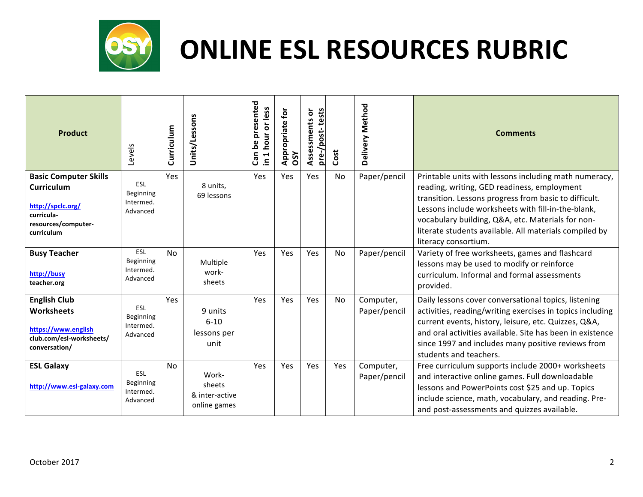

| Product                                                                                                                   | Levels                                    | Curriculum | Units/Lessons                                     | presented<br>in 1 hour or less<br>ە<br>م<br>Can | for<br>opriate<br>Appro<br>OSY | Assessments or<br>pre-/post-tests | Cost | Delivery Method           | <b>Comments</b>                                                                                                                                                                                                                                                                                                                    |
|---------------------------------------------------------------------------------------------------------------------------|-------------------------------------------|------------|---------------------------------------------------|-------------------------------------------------|--------------------------------|-----------------------------------|------|---------------------------|------------------------------------------------------------------------------------------------------------------------------------------------------------------------------------------------------------------------------------------------------------------------------------------------------------------------------------|
| <b>Basic Computer Skills</b><br><b>Curriculum</b><br>http://spclc.org/<br>curricula-<br>resources/computer-<br>curriculum | ESL<br>Beginning<br>Intermed.<br>Advanced | Yes        | 8 units,<br>69 lessons                            | Yes                                             | Yes                            | Yes                               | No   | Paper/pencil              | Printable units with lessons including math numeracy,<br>reading, writing, GED readiness, employment<br>transition. Lessons progress from basic to difficult.<br>Lessons include worksheets with fill-in-the-blank,<br>vocabulary building, Q&A, etc. Materials for non-<br>literate students available. All materials compiled by |
| <b>Busy Teacher</b><br>http://busy<br>teacher.org                                                                         | ESL<br>Beginning<br>Intermed.<br>Advanced | <b>No</b>  | Multiple<br>work-<br>sheets                       | Yes                                             | Yes                            | Yes                               | No   | Paper/pencil              | literacy consortium.<br>Variety of free worksheets, games and flashcard<br>lessons may be used to modify or reinforce<br>curriculum. Informal and formal assessments<br>provided.                                                                                                                                                  |
| <b>English Club</b><br><b>Worksheets</b><br>https://www.english<br>club.com/esl-worksheets/<br>conversation/              | ESL<br>Beginning<br>Intermed.<br>Advanced | Yes        | 9 units<br>$6 - 10$<br>lessons per<br>unit        | Yes                                             | Yes                            | Yes                               | No   | Computer,<br>Paper/pencil | Daily lessons cover conversational topics, listening<br>activities, reading/writing exercises in topics including<br>current events, history, leisure, etc. Quizzes, Q&A,<br>and oral activities available. Site has been in existence<br>since 1997 and includes many positive reviews from<br>students and teachers.             |
| <b>ESL Galaxy</b><br>http://www.esl-galaxy.com                                                                            | ESL<br>Beginning<br>Intermed.<br>Advanced | No         | Work-<br>sheets<br>& inter-active<br>online games | Yes                                             | Yes                            | Yes                               | Yes  | Computer,<br>Paper/pencil | Free curriculum supports include 2000+ worksheets<br>and interactive online games. Full downloadable<br>lessons and PowerPoints cost \$25 and up. Topics<br>include science, math, vocabulary, and reading. Pre-<br>and post-assessments and quizzes available.                                                                    |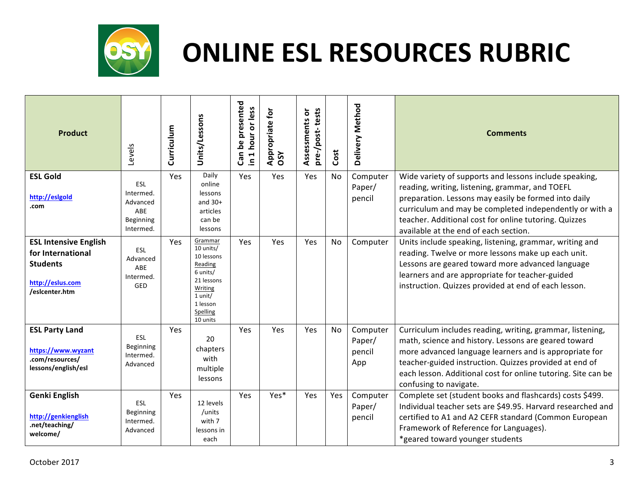

| <b>Product</b>                                                                                             | Levels                                                        | Curriculum | Units/Lessons                                                                                                                     | presented<br>in 1 hour or less<br>ە<br>م<br>Can | Appropriate for<br>OSY | pre-/post-tests<br>Assessments or | Cost      | Delivery Method                     | <b>Comments</b>                                                                                                                                                                                                                                                                                                                  |
|------------------------------------------------------------------------------------------------------------|---------------------------------------------------------------|------------|-----------------------------------------------------------------------------------------------------------------------------------|-------------------------------------------------|------------------------|-----------------------------------|-----------|-------------------------------------|----------------------------------------------------------------------------------------------------------------------------------------------------------------------------------------------------------------------------------------------------------------------------------------------------------------------------------|
| <b>ESL Gold</b><br>http://esigoid<br>.com                                                                  | ESL<br>Intermed.<br>Advanced<br>ABE<br>Beginning<br>Intermed. | Yes        | Daily<br>online<br>lessons<br>and $30+$<br>articles<br>can be<br>lessons                                                          | Yes                                             | Yes                    | Yes                               | No        | Computer<br>Paper/<br>pencil        | Wide variety of supports and lessons include speaking,<br>reading, writing, listening, grammar, and TOEFL<br>preparation. Lessons may easily be formed into daily<br>curriculum and may be completed independently or with a<br>teacher. Additional cost for online tutoring. Quizzes<br>available at the end of each section.   |
| <b>ESL Intensive English</b><br>for International<br><b>Students</b><br>http://eslus.com<br>/esicenter.htm | ESL<br>Advanced<br>ABE<br>Intermed.<br>GED                    | Yes        | Grammar<br>10 units/<br>10 lessons<br>Reading<br>6 units/<br>21 lessons<br>Writing<br>1 unit/<br>1 lesson<br>Spelling<br>10 units | Yes                                             | Yes                    | Yes                               | No        | Computer                            | Units include speaking, listening, grammar, writing and<br>reading. Twelve or more lessons make up each unit.<br>Lessons are geared toward more advanced language<br>learners and are appropriate for teacher-guided<br>instruction. Quizzes provided at end of each lesson.                                                     |
| <b>ESL Party Land</b><br>https://www.wyzant<br>.com/resources/<br>lessons/english/esl                      | ESL<br>Beginning<br>Intermed.<br>Advanced                     | Yes        | 20<br>chapters<br>with<br>multiple<br>lessons                                                                                     | Yes                                             | Yes                    | Yes                               | <b>No</b> | Computer<br>Paper/<br>pencil<br>App | Curriculum includes reading, writing, grammar, listening,<br>math, science and history. Lessons are geared toward<br>more advanced language learners and is appropriate for<br>teacher-guided instruction. Quizzes provided at end of<br>each lesson. Additional cost for online tutoring. Site can be<br>confusing to navigate. |
| <b>Genki English</b><br>http://genkienglish<br>.net/teaching/<br>welcome/                                  | ESL<br>Beginning<br>Intermed.<br>Advanced                     | Yes        | 12 levels<br>/units<br>with 7<br>lessons in<br>each                                                                               | Yes                                             | Yes*                   | Yes                               | Yes       | Computer<br>Paper/<br>pencil        | Complete set (student books and flashcards) costs \$499.<br>Individual teacher sets are \$49.95. Harvard researched and<br>certified to A1 and A2 CEFR standard (Common European<br>Framework of Reference for Languages).<br>*geared toward younger students                                                                    |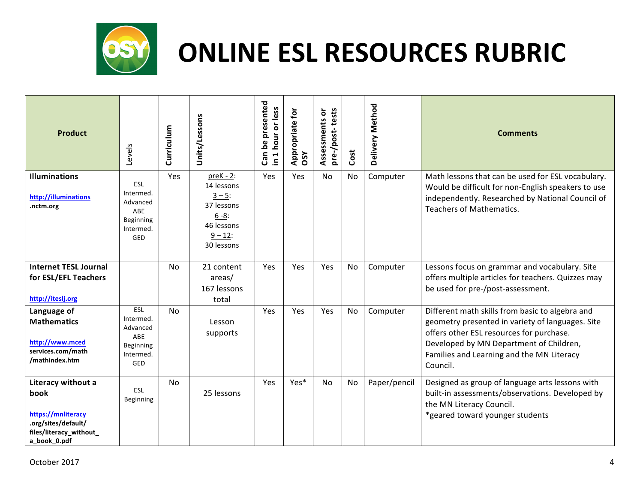

| <b>Product</b>                                                                                                     | Levels                                                               | Curriculum | Units/Lessons                                                                                              | Can be presented<br>hour or less<br>$\blacksquare$<br>$\equiv$ | Appropriate for<br>OSY | pre-/post-tests<br>Assessments or | Cost | Delivery Method | <b>Comments</b>                                                                                                                                                                                                                                     |
|--------------------------------------------------------------------------------------------------------------------|----------------------------------------------------------------------|------------|------------------------------------------------------------------------------------------------------------|----------------------------------------------------------------|------------------------|-----------------------------------|------|-----------------|-----------------------------------------------------------------------------------------------------------------------------------------------------------------------------------------------------------------------------------------------------|
| <b>Illuminations</b><br>http://illuminations<br>.nctm.org                                                          | ESL<br>Intermed.<br>Advanced<br>ABE<br>Beginning<br>Intermed.<br>GED | Yes        | $preK - 2$ :<br>14 lessons<br>$3 - 5:$<br>37 lessons<br>$6 - 8:$<br>46 lessons<br>$9 - 12$ :<br>30 lessons | Yes                                                            | Yes                    | No                                | No   | Computer        | Math lessons that can be used for ESL vocabulary.<br>Would be difficult for non-English speakers to use<br>independently. Researched by National Council of<br><b>Teachers of Mathematics.</b>                                                      |
| <b>Internet TESL Journal</b><br>for ESL/EFL Teachers<br>http://iteslj.org                                          |                                                                      | <b>No</b>  | 21 content<br>areas/<br>167 lessons<br>total                                                               | Yes                                                            | Yes                    | Yes                               | No   | Computer        | Lessons focus on grammar and vocabulary. Site<br>offers multiple articles for teachers. Quizzes may<br>be used for pre-/post-assessment.                                                                                                            |
| Language of<br><b>Mathematics</b><br>http://www.mced<br>services.com/math<br>/mathindex.htm                        | ESL<br>Intermed.<br>Advanced<br>ABE<br>Beginning<br>Intermed.<br>GED | <b>No</b>  | Lesson<br>supports                                                                                         | Yes                                                            | Yes                    | Yes                               | No   | Computer        | Different math skills from basic to algebra and<br>geometry presented in variety of languages. Site<br>offers other ESL resources for purchase.<br>Developed by MN Department of Children,<br>Families and Learning and the MN Literacy<br>Council. |
| Literacy without a<br>book<br>https://mnliteracy<br>.org/sites/default/<br>files/literacy_without_<br>a_book_0.pdf | ESL<br>Beginning                                                     | No         | 25 lessons                                                                                                 | Yes                                                            | Yes*                   | No                                | No   | Paper/pencil    | Designed as group of language arts lessons with<br>built-in assessments/observations. Developed by<br>the MN Literacy Council.<br>*geared toward younger students                                                                                   |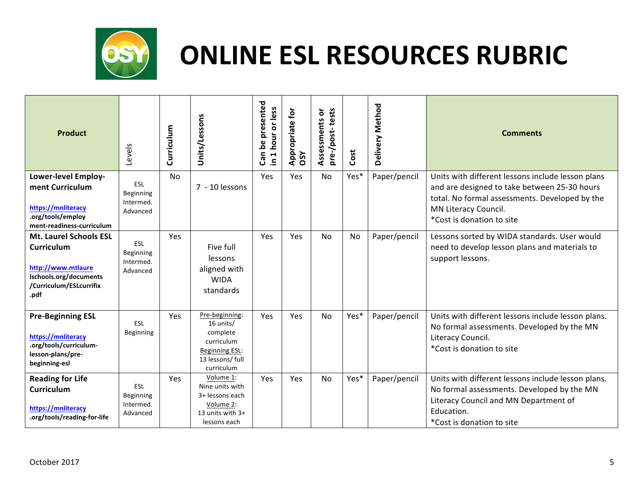

| <b>Product</b>                                                                                                                        | Levels                                    | Curriculum | Units/Lessons                                                                                                    | Can be presented<br>1 hour or less<br>$\tilde{=}$ | $\mathbf{r}$<br>Appropriate f<br>OSY | pre-/post-tests<br>Assessments or | Cost | Delivery Method | <b>Comments</b>                                                                                                                                                                                          |
|---------------------------------------------------------------------------------------------------------------------------------------|-------------------------------------------|------------|------------------------------------------------------------------------------------------------------------------|---------------------------------------------------|--------------------------------------|-----------------------------------|------|-----------------|----------------------------------------------------------------------------------------------------------------------------------------------------------------------------------------------------------|
| <b>Lower-level Employ-</b><br>ment Curriculum<br>https://mnliteracy<br>.org/tools/employ<br>ment-readiness-curriculum                 | ESL<br>Beginning<br>Intermed.<br>Advanced | No         | 7 - 10 lessons                                                                                                   | Yes                                               | Yes                                  | No                                | Yes* | Paper/pencil    | Units with different lessons include lesson plans<br>and are designed to take between 25-30 hours<br>total. No formal assessments. Developed by the<br>MN Literacy Council.<br>*Cost is donation to site |
| <b>Mt. Laurel Schools ESL</b><br><b>Curriculum</b><br>http://www.mtlaure<br>Ischools.org/documents<br>/Curriculum/ESLcurrifix<br>.pdf | ESL<br>Beginning<br>Intermed.<br>Advanced | Yes        | Five full<br>lessons<br>aligned with<br><b>WIDA</b><br>standards                                                 | Yes                                               | Yes                                  | <b>No</b>                         | No   | Paper/pencil    | Lessons sorted by WIDA standards. User would<br>need to develop lesson plans and materials to<br>support lessons.                                                                                        |
| <b>Pre-Beginning ESL</b><br>https://mnliteracy<br>.org/tools/curriculum-<br>lesson-plans/pre-<br>beginning-esl                        | <b>ESL</b><br>Beginning                   | Yes        | Pre-beginning:<br>16 units/<br>complete<br>curriculum<br><b>Beginning ESL:</b><br>13 lessons/ full<br>curriculum | Yes                                               | Yes                                  | No                                | Yes* | Paper/pencil    | Units with different lessons include lesson plans.<br>No formal assessments. Developed by the MN<br>Literacy Council.<br>*Cost is donation to site                                                       |
| <b>Reading for Life</b><br><b>Curriculum</b><br>https://mnliteracy<br>.org/tools/reading-for-life                                     | ESL<br>Beginning<br>Intermed.<br>Advanced | Yes        | Volume 1:<br>Nine units with<br>3+ lessons each<br>Volume 2:<br>13 units with 3+<br>lessons each                 | Yes                                               | Yes                                  | <b>No</b>                         | Yes* | Paper/pencil    | Units with different lessons include lesson plans.<br>No formal assessments. Developed by the MN<br>Literacy Council and MN Department of<br>Education.<br>*Cost is donation to site                     |